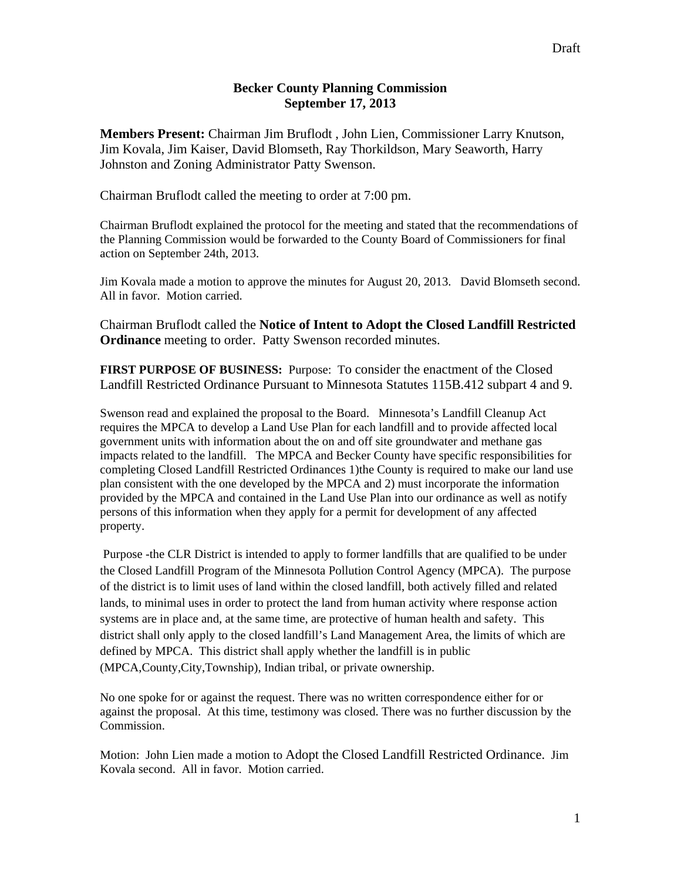## **Becker County Planning Commission September 17, 2013**

**Members Present:** Chairman Jim Bruflodt , John Lien, Commissioner Larry Knutson, Jim Kovala, Jim Kaiser, David Blomseth, Ray Thorkildson, Mary Seaworth, Harry Johnston and Zoning Administrator Patty Swenson.

Chairman Bruflodt called the meeting to order at 7:00 pm.

Chairman Bruflodt explained the protocol for the meeting and stated that the recommendations of the Planning Commission would be forwarded to the County Board of Commissioners for final action on September 24th, 2013.

Jim Kovala made a motion to approve the minutes for August 20, 2013. David Blomseth second. All in favor. Motion carried.

Chairman Bruflodt called the **Notice of Intent to Adopt the Closed Landfill Restricted Ordinance** meeting to order.Patty Swenson recorded minutes.

**FIRST PURPOSE OF BUSINESS:** Purpose: To consider the enactment of the Closed Landfill Restricted Ordinance Pursuant to Minnesota Statutes 115B.412 subpart 4 and 9.

Swenson read and explained the proposal to the Board. Minnesota's Landfill Cleanup Act requires the MPCA to develop a Land Use Plan for each landfill and to provide affected local government units with information about the on and off site groundwater and methane gas impacts related to the landfill. The MPCA and Becker County have specific responsibilities for completing Closed Landfill Restricted Ordinances 1)the County is required to make our land use plan consistent with the one developed by the MPCA and 2) must incorporate the information provided by the MPCA and contained in the Land Use Plan into our ordinance as well as notify persons of this information when they apply for a permit for development of any affected property.

 Purpose -the CLR District is intended to apply to former landfills that are qualified to be under the Closed Landfill Program of the Minnesota Pollution Control Agency (MPCA). The purpose of the district is to limit uses of land within the closed landfill, both actively filled and related lands, to minimal uses in order to protect the land from human activity where response action systems are in place and, at the same time, are protective of human health and safety. This district shall only apply to the closed landfill's Land Management Area, the limits of which are defined by MPCA. This district shall apply whether the landfill is in public (MPCA,County,City,Township), Indian tribal, or private ownership.

No one spoke for or against the request. There was no written correspondence either for or against the proposal. At this time, testimony was closed. There was no further discussion by the Commission.

Motion: John Lien made a motion to Adopt the Closed Landfill Restricted Ordinance. Jim Kovala second. All in favor. Motion carried.